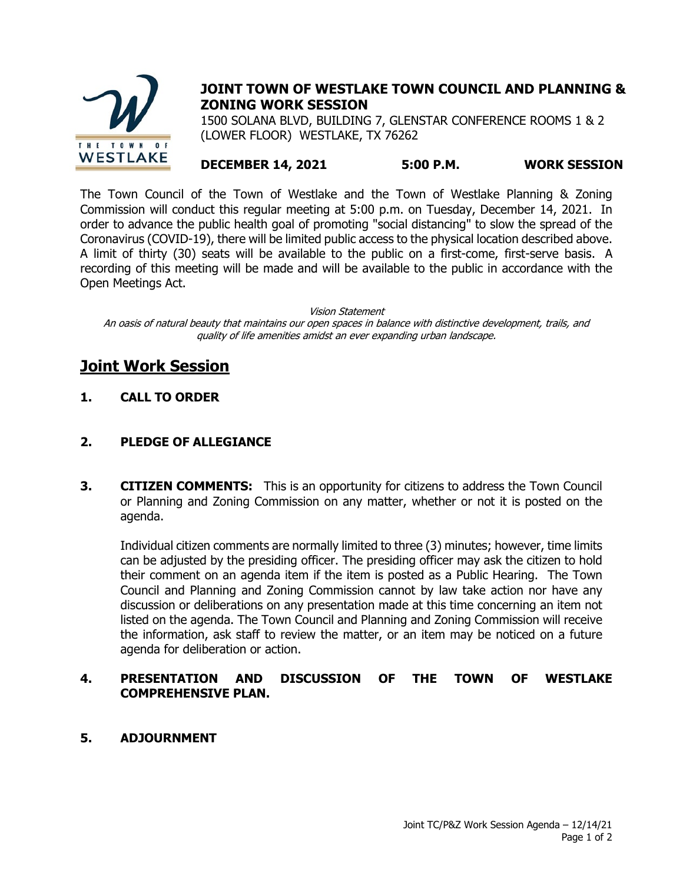

## **JOINT TOWN OF WESTLAKE TOWN COUNCIL AND PLANNING & ZONING WORK SESSION**

1500 SOLANA BLVD, BUILDING 7, GLENSTAR CONFERENCE ROOMS 1 & 2 (LOWER FLOOR) WESTLAKE, TX 76262

**DECEMBER 14, 2021 5:00 P.M. WORK SESSION**

The Town Council of the Town of Westlake and the Town of Westlake Planning & Zoning Commission will conduct this regular meeting at 5:00 p.m. on Tuesday, December 14, 2021. In order to advance the public health goal of promoting "social distancing" to slow the spread of the Coronavirus (COVID-19), there will be limited public access to the physical location described above. A limit of thirty (30) seats will be available to the public on a first-come, first-serve basis. A recording of this meeting will be made and will be available to the public in accordance with the Open Meetings Act.

Vision Statement

An oasis of natural beauty that maintains our open spaces in balance with distinctive development, trails, and quality of life amenities amidst an ever expanding urban landscape.

# **Joint Work Session**

**1. CALL TO ORDER**

### **2. PLEDGE OF ALLEGIANCE**

**3. CITIZEN COMMENTS:** This is an opportunity for citizens to address the Town Council or Planning and Zoning Commission on any matter, whether or not it is posted on the agenda.

Individual citizen comments are normally limited to three (3) minutes; however, time limits can be adjusted by the presiding officer. The presiding officer may ask the citizen to hold their comment on an agenda item if the item is posted as a Public Hearing. The Town Council and Planning and Zoning Commission cannot by law take action nor have any discussion or deliberations on any presentation made at this time concerning an item not listed on the agenda. The Town Council and Planning and Zoning Commission will receive the information, ask staff to review the matter, or an item may be noticed on a future agenda for deliberation or action.

#### **4. PRESENTATION AND DISCUSSION OF THE TOWN OF WESTLAKE COMPREHENSIVE PLAN.**

**5. ADJOURNMENT**